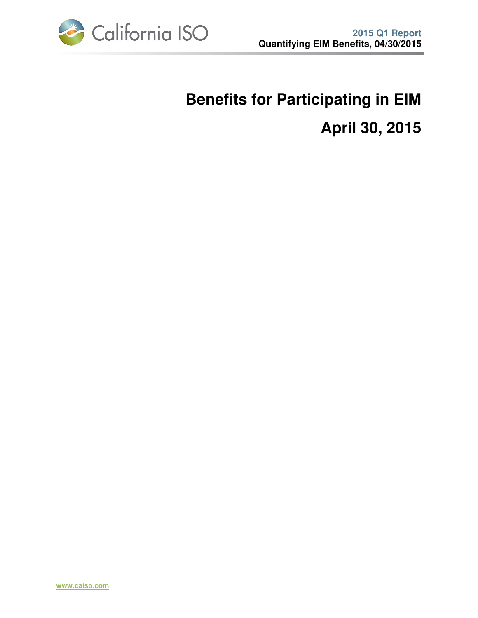

# **Benefits for Participating in EIM April 30, 2015**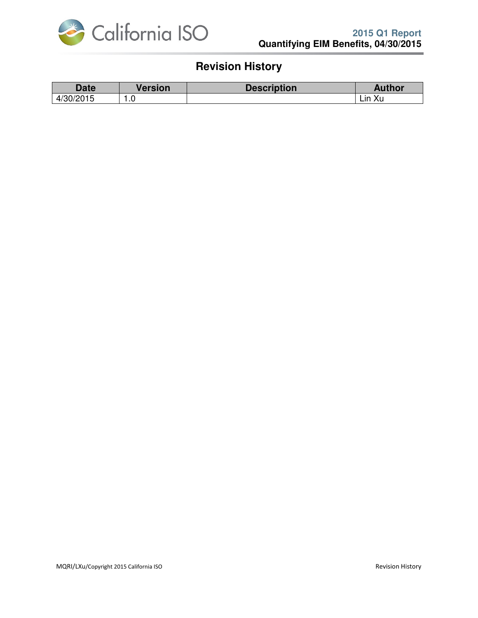

## **Revision History**

| Date                | <b>Version</b> | <b>Description</b> | <b>Author</b> |
|---------------------|----------------|--------------------|---------------|
| 100/001E<br>4/30/20 | . . u          |                    | Lin Xu        |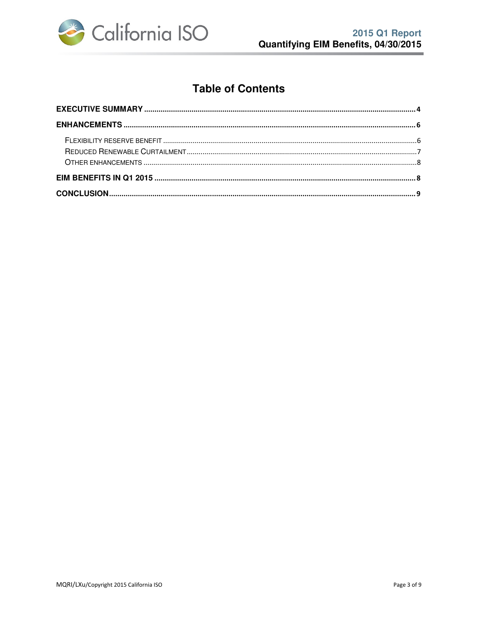

## **Table of Contents**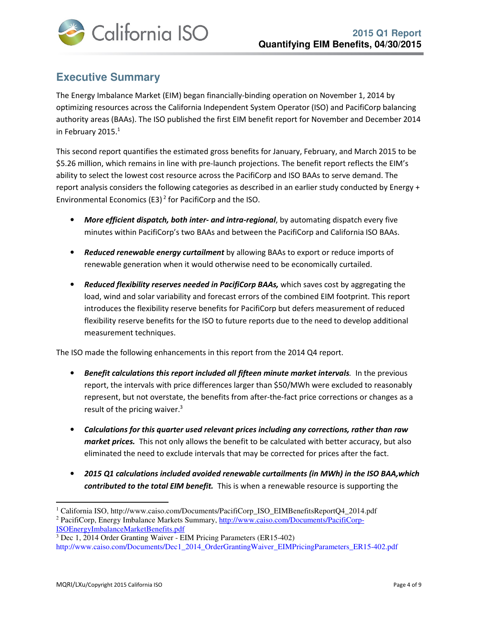

## **Executive Summary**

The Energy Imbalance Market (EIM) began financially-binding operation on November 1, 2014 by optimizing resources across the California Independent System Operator (ISO) and PacifiCorp balancing authority areas (BAAs). The ISO published the first EIM benefit report for November and December 2014 in February 2015.<sup>1</sup>

This second report quantifies the estimated gross benefits for January, February, and March 2015 to be \$5.26 million, which remains in line with pre-launch projections. The benefit report reflects the EIM's ability to select the lowest cost resource across the PacifiCorp and ISO BAAs to serve demand. The report analysis considers the following categories as described in an earlier study conducted by Energy + Environmental Economics (E3)<sup>2</sup> for PacifiCorp and the ISO.

- More efficient dispatch, both inter- and intra-regional, by automating dispatch every five minutes within PacifiCorp's two BAAs and between the PacifiCorp and California ISO BAAs.
- Reduced renewable energy curtailment by allowing BAAs to export or reduce imports of renewable generation when it would otherwise need to be economically curtailed.
- Reduced flexibility reserves needed in PacifiCorp BAAs, which saves cost by aggregating the load, wind and solar variability and forecast errors of the combined EIM footprint. This report introduces the flexibility reserve benefits for PacifiCorp but defers measurement of reduced flexibility reserve benefits for the ISO to future reports due to the need to develop additional measurement techniques.

The ISO made the following enhancements in this report from the 2014 Q4 report.

- Benefit calculations this report included all fifteen minute market intervals. In the previous report, the intervals with price differences larger than \$50/MWh were excluded to reasonably represent, but not overstate, the benefits from after-the-fact price corrections or changes as a result of the pricing waiver. $3$
- Calculations for this quarter used relevant prices including any corrections, rather than raw market prices. This not only allows the benefit to be calculated with better accuracy, but also eliminated the need to exclude intervals that may be corrected for prices after the fact.
- 2015 Q1 calculations included avoided renewable curtailments (in MWh) in the ISO BAA,which contributed to the total EIM benefit. This is when a renewable resource is supporting the

 $\overline{a}$ 

<sup>&</sup>lt;sup>1</sup> California ISO, http://www.caiso.com/Documents/PacifiCorp\_ISO\_EIMBenefitsReportQ4\_2014.pdf

<sup>&</sup>lt;sup>2</sup> PacifiCorp, Energy Imbalance Markets Summary, http://www.caiso.com/Documents/PacifiCorp-ISOEnergyImbalanceMarketBenefits.pdf

<sup>&</sup>lt;sup>3</sup> Dec 1, 2014 Order Granting Waiver - EIM Pricing Parameters (ER15-402) http://www.caiso.com/Documents/Dec1\_2014\_OrderGrantingWaiver\_EIMPricingParameters\_ER15-402.pdf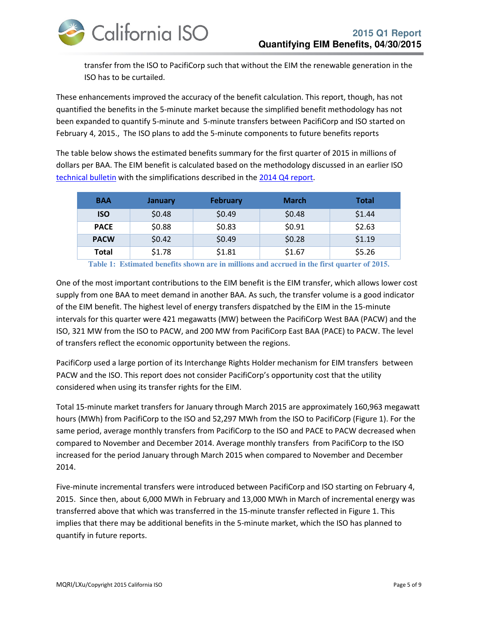

transfer from the ISO to PacifiCorp such that without the EIM the renewable generation in the ISO has to be curtailed.

These enhancements improved the accuracy of the benefit calculation. This report, though, has not quantified the benefits in the 5-minute market because the simplified benefit methodology has not been expanded to quantify 5-minute and 5-minute transfers between PacifiCorp and ISO started on February 4, 2015., The ISO plans to add the 5-minute components to future benefits reports

The table below shows the estimated benefits summary for the first quarter of 2015 in millions of dollars per BAA. The EIM benefit is calculated based on the methodology discussed in an earlier ISO technical bulletin with the simplifications described in the 2014 Q4 report.

| <b>BAA</b>  | <b>January</b> | <b>February</b> | <b>March</b> | <b>Total</b> |
|-------------|----------------|-----------------|--------------|--------------|
| <b>ISO</b>  | \$0.48         | \$0.49          | \$0.48       | \$1.44       |
| <b>PACE</b> | \$0.88         | \$0.83          | \$0.91       | \$2.63       |
| <b>PACW</b> | \$0.42         | \$0.49          | \$0.28       | \$1.19       |
| Total       | \$1.78         | \$1.81          | \$1.67       | \$5.26       |

**Table 1: Estimated benefits shown are in millions and accrued in the first quarter of 2015.** 

One of the most important contributions to the EIM benefit is the EIM transfer, which allows lower cost supply from one BAA to meet demand in another BAA. As such, the transfer volume is a good indicator of the EIM benefit. The highest level of energy transfers dispatched by the EIM in the 15-minute intervals for this quarter were 421 megawatts (MW) between the PacifiCorp West BAA (PACW) and the ISO, 321 MW from the ISO to PACW, and 200 MW from PacifiCorp East BAA (PACE) to PACW. The level of transfers reflect the economic opportunity between the regions.

PacifiCorp used a large portion of its Interchange Rights Holder mechanism for EIM transfers between PACW and the ISO. This report does not consider PacifiCorp's opportunity cost that the utility considered when using its transfer rights for the EIM.

Total 15-minute market transfers for January through March 2015 are approximately 160,963 megawatt hours (MWh) from PacifiCorp to the ISO and 52,297 MWh from the ISO to PacifiCorp (Figure 1). For the same period, average monthly transfers from PacifiCorp to the ISO and PACE to PACW decreased when compared to November and December 2014. Average monthly transfers from PacifiCorp to the ISO increased for the period January through March 2015 when compared to November and December 2014.

Five-minute incremental transfers were introduced between PacifiCorp and ISO starting on February 4, 2015. Since then, about 6,000 MWh in February and 13,000 MWh in March of incremental energy was transferred above that which was transferred in the 15-minute transfer reflected in Figure 1. This implies that there may be additional benefits in the 5-minute market, which the ISO has planned to quantify in future reports.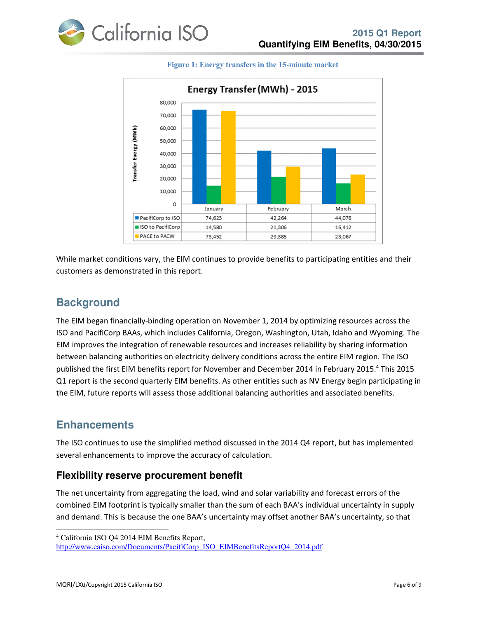



#### **Figure 1: Energy transfers in the 15-minute market**

While market conditions vary, the EIM continues to provide benefits to participating entities and their customers as demonstrated in this report.

#### **Background**

The EIM began financially-binding operation on November 1, 2014 by optimizing resources across the ISO and PacifiCorp BAAs, which includes California, Oregon, Washington, Utah, Idaho and Wyoming. The EIM improves the integration of renewable resources and increases reliability by sharing information between balancing authorities on electricity delivery conditions across the entire EIM region. The ISO published the first EIM benefits report for November and December 2014 in February 2015.<sup>4</sup> This 2015 Q1 report is the second quarterly EIM benefits. As other entities such as NV Energy begin participating in the EIM, future reports will assess those additional balancing authorities and associated benefits.

#### **Enhancements**

l

The ISO continues to use the simplified method discussed in the 2014 Q4 report, but has implemented several enhancements to improve the accuracy of calculation.

#### **Flexibility reserve procurement benefit**

The net uncertainty from aggregating the load, wind and solar variability and forecast errors of the combined EIM footprint is typically smaller than the sum of each BAA's individual uncertainty in supply and demand. This is because the one BAA's uncertainty may offset another BAA's uncertainty, so that

<sup>4</sup> California ISO Q4 2014 EIM Benefits Report,

http://www.caiso.com/Documents/PacifiCorp\_ISO\_EIMBenefitsReportQ4\_2014.pdf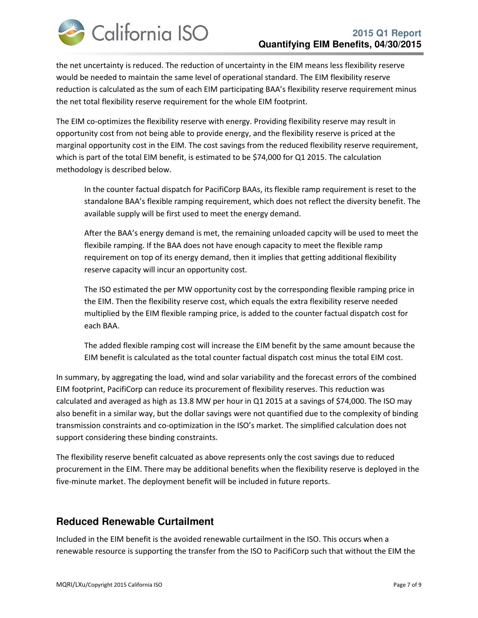

the net uncertainty is reduced. The reduction of uncertainty in the EIM means less flexibility reserve would be needed to maintain the same level of operational standard. The EIM flexibility reserve reduction is calculated as the sum of each EIM participating BAA's flexibility reserve requirement minus the net total flexibility reserve requirement for the whole EIM footprint.

The EIM co-optimizes the flexibility reserve with energy. Providing flexibility reserve may result in opportunity cost from not being able to provide energy, and the flexibility reserve is priced at the marginal opportunity cost in the EIM. The cost savings from the reduced flexibility reserve requirement, which is part of the total EIM benefit, is estimated to be \$74,000 for Q1 2015. The calculation methodology is described below.

In the counter factual dispatch for PacifiCorp BAAs, its flexible ramp requirement is reset to the standalone BAA's flexible ramping requirement, which does not reflect the diversity benefit. The available supply will be first used to meet the energy demand.

After the BAA's energy demand is met, the remaining unloaded capcity will be used to meet the flexibile ramping. If the BAA does not have enough capacity to meet the flexible ramp requirement on top of its energy demand, then it implies that getting additional flexibility reserve capacity will incur an opportunity cost.

The ISO estimated the per MW opportunity cost by the corresponding flexible ramping price in the EIM. Then the flexibility reserve cost, which equals the extra flexibility reserve needed multiplied by the EIM flexible ramping price, is added to the counter factual dispatch cost for each BAA.

The added flexible ramping cost will increase the EIM benefit by the same amount because the EIM benefit is calculated as the total counter factual dispatch cost minus the total EIM cost.

In summary, by aggregating the load, wind and solar variability and the forecast errors of the combined EIM footprint, PacifiCorp can reduce its procurement of flexibility reserves. This reduction was calculated and averaged as high as 13.8 MW per hour in Q1 2015 at a savings of \$74,000. The ISO may also benefit in a similar way, but the dollar savings were not quantified due to the complexity of binding transmission constraints and co-optimization in the ISO's market. The simplified calculation does not support considering these binding constraints.

The flexibility reserve benefit calcuated as above represents only the cost savings due to reduced procurement in the EIM. There may be additional benefits when the flexibility reserve is deployed in the five-minute market. The deployment benefit will be included in future reports.

#### **Reduced Renewable Curtailment**

Included in the EIM benefit is the avoided renewable curtailment in the ISO. This occurs when a renewable resource is supporting the transfer from the ISO to PacifiCorp such that without the EIM the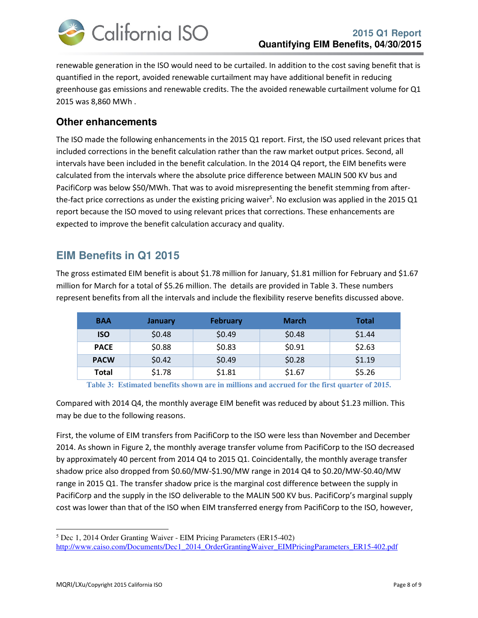

renewable generation in the ISO would need to be curtailed. In addition to the cost saving benefit that is quantified in the report, avoided renewable curtailment may have additional benefit in reducing greenhouse gas emissions and renewable credits. The the avoided renewable curtailment volume for Q1 2015 was 8,860 MWh .

#### **Other enhancements**

The ISO made the following enhancements in the 2015 Q1 report. First, the ISO used relevant prices that included corrections in the benefit calculation rather than the raw market output prices. Second, all intervals have been included in the benefit calculation. In the 2014 Q4 report, the EIM benefits were calculated from the intervals where the absolute price difference between MALIN 500 KV bus and PacifiCorp was below \$50/MWh. That was to avoid misrepresenting the benefit stemming from afterthe-fact price corrections as under the existing pricing waiver<sup>5</sup>. No exclusion was applied in the 2015 Q1 report because the ISO moved to using relevant prices that corrections. These enhancements are expected to improve the benefit calculation accuracy and quality.

### **EIM Benefits in Q1 2015**

The gross estimated EIM benefit is about \$1.78 million for January, \$1.81 million for February and \$1.67 million for March for a total of \$5.26 million. The details are provided in Table 3. These numbers represent benefits from all the intervals and include the flexibility reserve benefits discussed above.

| <b>BAA</b>   | January | <b>February</b> | <b>March</b> | <b>Total</b> |
|--------------|---------|-----------------|--------------|--------------|
| <b>ISO</b>   | \$0.48  | \$0.49          | \$0.48       | \$1.44       |
| <b>PACE</b>  | \$0.88  | \$0.83          | \$0.91       | \$2.63       |
| <b>PACW</b>  | \$0.42  | \$0.49          | \$0.28       | \$1.19       |
| <b>Total</b> | \$1.78  | \$1.81          | \$1.67       | \$5.26       |

**Table 3: Estimated benefits shown are in millions and accrued for the first quarter of 2015.** 

Compared with 2014 Q4, the monthly average EIM benefit was reduced by about \$1.23 million. This may be due to the following reasons.

First, the volume of EIM transfers from PacifiCorp to the ISO were less than November and December 2014. As shown in Figure 2, the monthly average transfer volume from PacifiCorp to the ISO decreased by approximately 40 percent from 2014 Q4 to 2015 Q1. Coincidentally, the monthly average transfer shadow price also dropped from \$0.60/MW-\$1.90/MW range in 2014 Q4 to \$0.20/MW-\$0.40/MW range in 2015 Q1. The transfer shadow price is the marginal cost difference between the supply in PacifiCorp and the supply in the ISO deliverable to the MALIN 500 KV bus. PacifiCorp's marginal supply cost was lower than that of the ISO when EIM transferred energy from PacifiCorp to the ISO, however,

 $\overline{a}$ 

<sup>5</sup> Dec 1, 2014 Order Granting Waiver - EIM Pricing Parameters (ER15-402) http://www.caiso.com/Documents/Dec1\_2014\_OrderGrantingWaiver\_EIMPricingParameters\_ER15-402.pdf